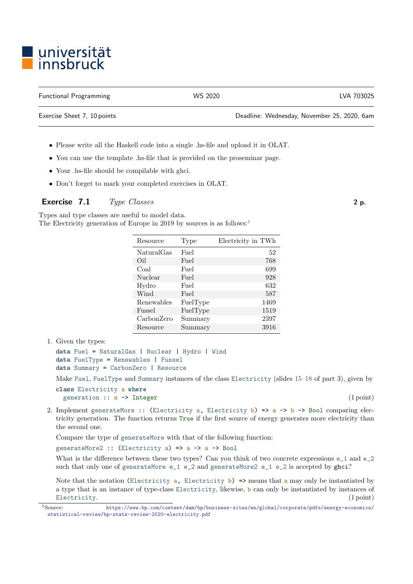## ■ universität<br>■ innsbruck

Functional Programming The Control Control of the WS 2020 CMS 2020 CVA 703025

Exercise Sheet 7, 10 points Deadline: Wednesday, November 25, 2020, 6am

- Please write all the Haskell code into a single .hs-file and upload it in OLAT.
- You can use the template .hs-file that is provided on the proseminar page.
- Your .hs-file should be compilable with ghci.
- Don't forget to mark your completed exercises in OLAT.

## Exercise 7.1 Type Classes 2 p.

Types and type classes are useful to model data. The Electricity generation of Europe in 20[1](#page-0-0)9 by sources is as follows:<sup>1</sup>

| Resource   | Type     | Electricity in TWh |
|------------|----------|--------------------|
| NaturalGas | Fuel     | 52                 |
| Oil        | Fuel     | 768                |
| Coal       | Fuel     | 699                |
| Nuclear    | Fuel     | 928                |
| Hydro      | Fuel     | 632                |
| Wind       | Fuel     | 587                |
| Renewables | FuelType | 1469               |
| Fussel     | FuelType | 1519               |
| CarbonZero | Summary  | 2397               |
| Resource   | Summary  | 3916               |

1. Given the types:

```
data Fuel = NaturalGas | Nuclear | Hydro | Wind
data FuelType = Renewables | Fussel
data Summary = CarbonZero | Resource
```
Make Fuel, FuelType and Summary instances of the class Electricity (slides [15–18](http://cl-informatik.uibk.ac.at/teaching/ws20/fp/slides/03x1.pdf#page=15) of part 3), given by

```
class Electricity a where
 generation :: a -> Integer (1 point)
```
2. Implement generateMore :: (Electricity a, Electricity b) =>  $a \rightarrow b \rightarrow$  Bool comparing electricity generation. The function returns True if the first source of energy generates more electricity than the second one.

Compare the type of generateMore with that of the following function:

generateMore2 :: (Electricity  $a$ ) =>  $a \rightarrow a \rightarrow$  Bool

What is the difference between these two types? Can you think of two concrete expressions e\_1 and e\_2 such that only one of generateMore  $e_1$   $e_2$  and generateMore2  $e_1$   $e_2$  is accepted by ghci?

Note that the notation (Electricity  $a$ , Electricity b) => means that a may only be instantiated by a type that is an instance of type-class Electricity, likewise, b can only be instantiated by instances of Electricity. (1 point) (1 point)

<span id="page-0-0"></span><sup>1</sup>Source: [https://www.bp.com/content/dam/bp/business-sites/en/global/corporate/pdfs/energy-economics/](https://www.bp.com/content/dam/bp/business-sites/en/global/corporate/pdfs/energy-economics/statistical-review/bp-stats-review-2020-electricity.pdf) [statistical-review/bp-stats-review-2020-electricity.pdf](https://www.bp.com/content/dam/bp/business-sites/en/global/corporate/pdfs/energy-economics/statistical-review/bp-stats-review-2020-electricity.pdf)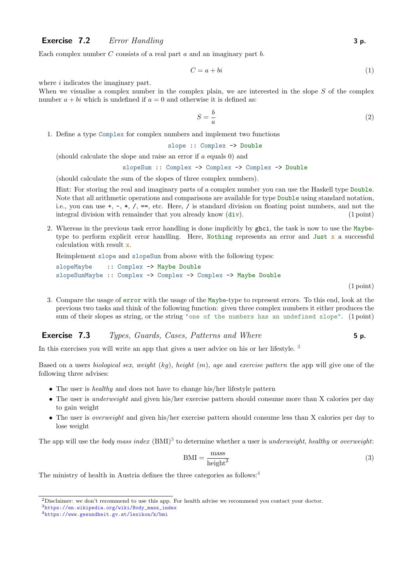## **Exercise 7.2** Error Handling  $\bullet$  3 p.

Each complex number  $C$  consists of a real part  $a$  and an imaginary part  $b$ .

$$
C = a + bi \tag{1}
$$

where  $i$  indicates the imaginary part.

When we visualise a complex number in the complex plain, we are interested in the slope  $S$  of the complex number  $a + bi$  which is undefined if  $a = 0$  and otherwise it is defined as:

$$
S = \frac{b}{a} \tag{2}
$$

1. Define a type Complex for complex numbers and implement two functions

slope :: Complex -> Double

(should calculate the slope and raise an error if a equals 0) and

slopeSum :: Complex -> Complex -> Complex -> Double

(should calculate the sum of the slopes of three complex numbers).

Hint: For storing the real and imaginary parts of a complex number you can use the Haskell type Double. Note that all arithmetic operations and comparisons are available for type Double using standard notation, i.e., you can use  $+$ ,  $-$ ,  $*$ ,  $/$ ,  $==$ , etc. Here,  $/$  is standard division on floating point numbers, and not the integral division with remainder that you already know (div). (1 point) (1 point)

2. Whereas in the previous task error handling is done implicitly by ghci, the task is now to use the Maybetype to perform explicit error handling. Here, Nothing represents an error and Just  $\bar{x}$  a successful calculation with result x.

Reimplement slope and slopeSum from above with the following types:

slopeMaybe :: Complex -> Maybe Double slopeSumMaybe :: Complex -> Complex -> Complex -> Maybe Double

(1 point)

3. Compare the usage of error with the usage of the Maybe-type to represent errors. To this end, look at the previous two tasks and think of the following function: given three complex numbers it either produces the sum of their slopes as string, or the string "one of the numbers has an undefined slope". (1 point)

## **Exercise 7.3** Types, Guards, Cases, Patterns and Where 5 p.

In this exercises you will write an app that gives a user advice on his or her lifestyle.<sup>[2](#page-1-0)</sup>

Based on a users *biological sex, weight* (kg), *height* (m), age and exercise pattern the app will give one of the following three advises:

- The user is *healthy* and does not have to change his/her lifestyle pattern
- The user is *underweight* and given his/her exercise pattern should consume more than X calories per day to gain weight
- The user is *overweight* and given his/her exercise pattern should consume less than X calories per day to lose weight

The app will use the body mass index  $(BMI)^3$  $(BMI)^3$  to determine whether a user is underweight, healthy or overweight:

$$
BMI = \frac{mass}{height^2}
$$
 (3)

The ministry of health in Austria defines the three categories as follows:<sup>[4](#page-1-2)</sup>

<span id="page-1-0"></span><sup>2</sup>Disclaimer: we don't recommend to use this app. For health advise we recommend you contact your doctor.

<span id="page-1-1"></span><sup>3</sup>[https://en.wikipedia.org/wiki/Body\\_mass\\_index](https://en.wikipedia.org/wiki/Body_mass_index)

<span id="page-1-2"></span><sup>4</sup><https://www.gesundheit.gv.at/lexikon/k/bmi>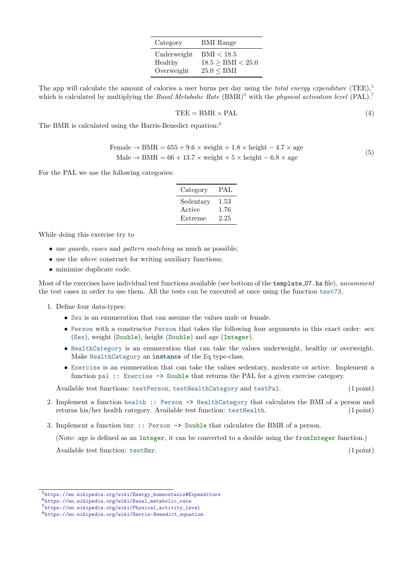| Category    | <b>BMI</b> Range  |
|-------------|-------------------|
| Underweight | BMI < 18.5        |
| Healthy     | 18.5 > BMI < 25.0 |
| Overweight  | 25.0 < BMI        |

The app will calculate the amount of calories a user burns per day using the *total energy expenditure* (TEE),<sup>[5](#page-2-0)</sup> which is calculated by multiplying the Basal Metabolic Rate  $(BMR)^6$  $(BMR)^6$  with the physical activation level  $(PAL)^7$  $(PAL)^7$ .

$$
TEE = BMR \times PAL \tag{4}
$$

The BMR is calculated using the Harris-Benedict equation:<sup>[8](#page-2-3)</sup>

$$
\text{Female} \rightarrow \text{BMR} = 655 + 9.6 \times \text{weight} + 1.8 \times \text{height} - 4.7 \times \text{age}
$$
\n
$$
\text{Male} \rightarrow \text{BMR} = 66 + 13.7 \times \text{weight} + 5 \times \text{height} - 6.8 \times \text{age}
$$
\n
$$
\tag{5}
$$

For the PAL we use the following categories:

| Category  | PAL  |
|-----------|------|
| Sedentary | 1.53 |
| Active    | 1.76 |
| Extreme   | 2.25 |

While doing this exercise try to

- use *guards*, *cases* and *pattern matching* as much as possible:
- use the *where* construct for writing auxiliary functions;
- minimize duplicate code.

Most of the exercises have individual test functions available (see bottom of the template 07.hs file), uncomment the test cases in order to use them. All the tests can be executed at once using the function test73.

- 1. Define four data-types:
	- Sex is an enumeration that can assume the values male or female.
	- Person with a constructor Person that takes the following four arguments in this exact order: sex (Sex), weight (Double), height (Double) and age (Integer).
	- HealthCategory is an enumeration that can take the values underweight, healthy or overweight. Make HealthCategory an instance of the Eq type-class.
	- Exercise is an enumeration that can take the values sedentary, moderate or active. Implement a function pal :: Exercise -> Double that returns the PAL for a given exercise category.

Available test functions: testPerson, testHealthCategory and testPal. (1 point)

- 2. Implement a function health :: Person -> HealthCategory that calculates the BMI of a person and returns his/her health category. Available test function: testHealth. (1 point)
- 3. Implement a function bmr :: Person -> Double that calculates the BMR of a person.

(Note: age is defined as an Integer, it can be converted to a double using the fromInteger function.)

Available test function: testBmr. (1 point) (1 point)

<span id="page-2-0"></span><sup>5</sup>[https://en.wikipedia.org/wiki/Energy\\_homeostasis#Expenditure](https://en.wikipedia.org/wiki/Energy_homeostasis#Expenditure)

<span id="page-2-1"></span><sup>6</sup>[https://en.wikipedia.org/wiki/Basal\\_metabolic\\_rate](https://en.wikipedia.org/wiki/Basal_metabolic_rate)

<span id="page-2-2"></span><sup>7</sup>[https://en.wikipedia.org/wiki/Physical\\_activity\\_level](https://en.wikipedia.org/wiki/Physical_activity_level)

<span id="page-2-3"></span><sup>8</sup>[https://en.wikipedia.org/wiki/Harris-Benedict\\_equation](https://en.wikipedia.org/wiki/Harris-Benedict_equation)